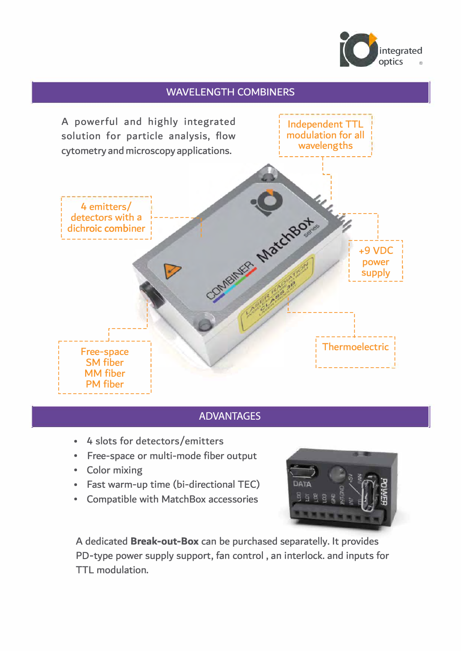

# **WAVELENGTH COMBINERS**



## **ADVANTAGES**

- 4 slots for detectors/emitters  $\bullet$
- Free-space or multi-mode fiber output
- Color mixing
- Fast warm-up time (bi-directional TEC)  $\bullet$  .
- Compatible with MatchBox accessories



A dedicated Break-out-Box can be purchased separatelly. It provides PD-type power supply support, fan control, an interlock. and inputs for TTL modulation.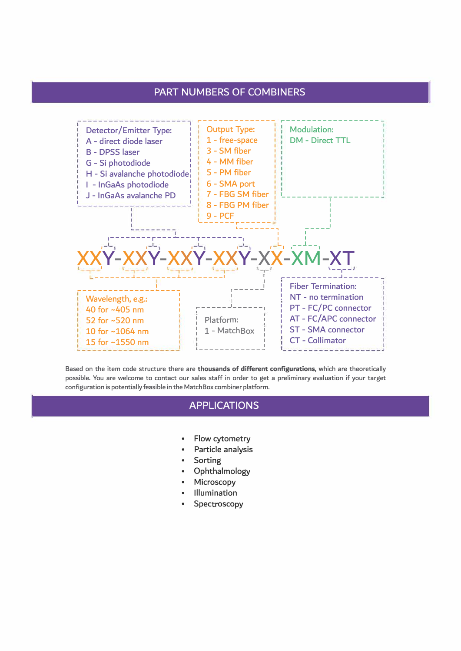#### PART NUMBERS OF COMBINERS



Based on the item code structure there are thousands of different configurations, which are theoretically possible. You are welcome to contact our sales staff in order to get a preliminary evaluation if your target configuration is potentially feasible in the Match Box combiner platform.

## APPLlCATIONS

- Flow cytometry
- Particle analysis
- **Sorting**

|

- Ophthalmology
- **Microscopy**
- Illumination
- **Spectroscopy**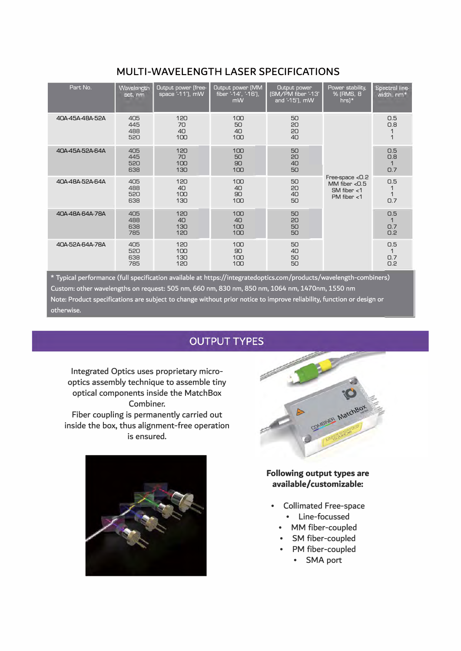# MULTI-WAVELENGTH LASER SPECIFICATIONS

| MULI I-WAVELENG I H LASER SPELIFILATIONS |                          |                                         |                                                |                                                      |                                                                         |                                          |
|------------------------------------------|--------------------------|-----------------------------------------|------------------------------------------------|------------------------------------------------------|-------------------------------------------------------------------------|------------------------------------------|
| Part No.                                 | Wavelength<br>set, nm    | Output power (free-<br>space '-11'), mW | Output power [MM<br>fiber '-14', '-16'),<br>mW | Output power<br>[SM/PM fiber '-13'<br>and '-15'), mW | Power stability,<br>% (RMS, 8<br>$hrs$ <sup>*</sup>                     | Spectral line-<br>width, nm <sup>+</sup> |
| 40A-45A-48A-52A                          | 405<br>445<br>488<br>520 | 120<br>70<br>40<br>100                  | 100<br>50<br>40<br>100                         | 50<br>20<br>20<br>40                                 | Free-space <0.2<br>MM fiber $< 0.5$<br>SM fiber $<$ 1<br>PM fiber $<$ 1 | O.5<br>0.8<br>$\mathbf 1$                |
| 40A-45A-52A-64A                          | 405<br>445<br>520<br>638 | 120<br>70<br>100<br>130                 | 100<br>50<br>90<br>100                         | 50<br>20<br>40<br>50                                 |                                                                         | 0.5<br>0.8<br>1<br>0.7                   |
| 40A-48A-52A-64A                          | 405<br>488<br>520<br>638 | 120<br>40<br>100<br>130                 | 100<br>40<br>90<br>100                         | 50<br>20<br>40<br>50                                 |                                                                         | 0.5<br>1<br>1<br>0.7                     |
| 40A-48A-64A-78A                          | 405<br>488<br>638<br>785 | 120<br>40<br>130<br>120                 | 100<br>40<br>100<br>100                        | 50<br>20<br>50<br>50                                 |                                                                         | 0.5<br>1<br>0.7<br>0.2                   |
| 40A-52A-64A-78A                          | 405<br>520<br>638<br>785 | 120<br>100<br>130<br>120                | 100<br>90<br>100<br>100                        | 50<br>40<br>50<br>50                                 |                                                                         | 0.5<br>$\mathbf{1}$<br>0.7<br>0.2        |

\* Typical performance (full specification available at https://integratedoptics.com/products/wavelength-combiners)<br>Custom: other wavelengths on request: 505 nm, 660 nm, 830 nm, 850 nm, 1064 nm, 1470nm, 1550 nm<br>Note: Produc  $\begin{bmatrix} 0.2 \\ 5 \end{bmatrix}$ 

# **OUTPUT TYPES**

Integrated Optics uses proprietary microoptics assembly technique to assemble tiny optical components inside the MatchBox Combiner. Fiber coupling is permanently carried out inside the box, thus alignment-free operation is ensured.

![](_page_2_Picture_5.jpeg)

![](_page_2_Figure_6.jpeg)

Following output types are available/customizable:

- Collimated Free-space • Line-focussed
	- MM fiber-coupled
	- SM fiber-coupled
	- PM fiber-coupled
		- SMA port